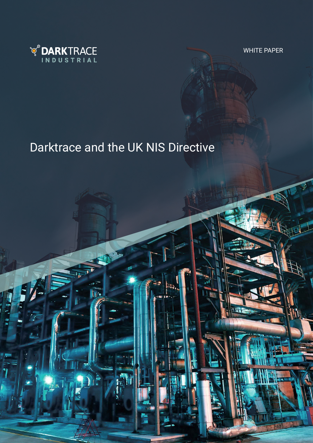

WHITE PAPER

# Darktrace and the UK NIS Directive

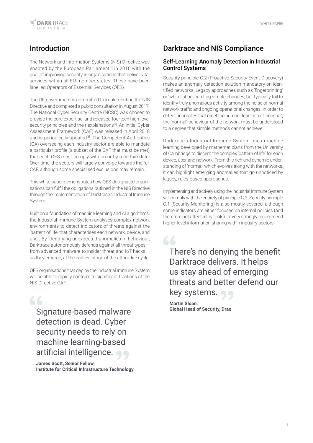The Network and Information Systems (NIS) Directive was enacted by the European Parliament<sup>[1]</sup> in 2016 with the goal of improving security in organisations that deliver vital services within all EU member states. These have been labelled Operators of Essential Services (OES).

The UK government is committed to implementing the NIS Directive and completed a public consultation in August 2017. The National Cyber Security Centre (NCSC) was chosen to provide the core expertise, and released fourteen high-level security principles and their explanations<sup>[2]</sup>. An initial Cyber Assessment Framework (CAF) was released in April 2018 and is periodically updated<sup>[3]</sup>. The Competent Authorities (CA) overseeing each industry sector are able to mandate a particular profile (a subset of the CAF that must be met) that each OES must comply with on or by a certain date. Over time, the sectors will largely converge towards the full CAF, although some specialised exclusions may remain.

This white paper demonstrates how OES-designated organisations can fulfil the obligations outlined in the NIS Directive through the implementation of Darktrace's Industrial Immune System.

Built on a foundation of machine learning and AI algorithms, the Industrial Immune System analyses complex network environments to detect indicators of threats against the 'pattern of life' that characterises each network, device, and user. By identifying unexpected anomalies in behaviour, Darktrace autonomously defends against all threat types – from advanced malware to insider threat and IoT hacks – as they emerge, at the earliest stage of the attack life cycle.

OES organisations that deploy the Industrial Immune System will be able to rapidly conform to significant fractions of the NIS Directive CAF.

66 Signature-based malware detection is dead. Cyber security needs to rely on machine learning-based artificial intelligence.

**James Scott, Senior Fellow, Institute for Critical Infrastructure Technology**

## Darktrace and NIS Compliance

#### Self-Learning Anomaly Detection in Industrial Control Systems

Security principle C.2 (Proactive Security Event Discovery) makes an anomaly detection solution mandatory on identified networks. Legacy approaches such as 'fingerprinting' or 'whitelisting' can flag simple changes, but typically fail to identify truly anomalous activity among the noise of normal network traffic and ongoing operational changes. In order to detect anomalies that meet the human definition of 'unusual', the 'normal' behaviour of the network must be understood to a degree that simple methods cannot achieve.

Darktrace's Industrial Immune System uses machine learning developed by mathematicians from the University of Cambridge to discern the complex 'pattern of life' for each device, user and network. From this rich and dynamic understanding of 'normal' which evolves along with the networks, it can highlight emerging anomalies that go unnoticed by legacy, rules-based approaches.

Implementing and actively using the Industrial Immune System will comply with the entirety of principle C.2. Security principle C.1 (Security Monitoring) is also mostly covered, although some indicators are either focused on internal policies (and therefore not affected by tools), or very strongly recommend higher-level information sharing within industry sectors.

66 There's no denying the benefit Darktrace delivers. It helps us stay ahead of emerging threats and better defend our key systems.

**Martin Sloan, Global Head of Security, Drax**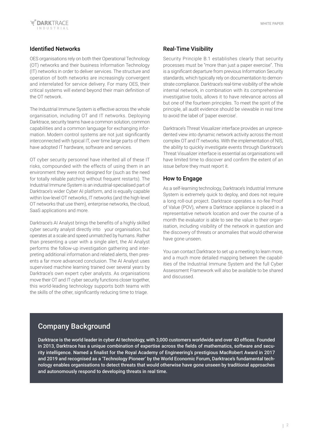

#### Identified Networks

OES organisations rely on both their Operational Technology (OT) networks and their business Information Technology (IT) networks in order to deliver services. The structure and operation of both networks are increasingly convergent and interrelated for service delivery. For many OES, their critical systems will extend beyond their main definition of the OT network.

The Industrial Immune System is effective across the whole organisation, including OT and IT networks. Deploying Darktrace, security teams have a common solution, common capabilities and a common language for exchanging information. Modern control systems are not just significantly interconnected with typical IT, over time large parts of them have adopted IT hardware, software and services.

OT cyber security personnel have inherited all of these IT risks, compounded with the effects of using them in an environment they were not designed for (such as the need for totally reliable patching without frequent restarts). The Industrial Immune System is an industrial-specialised part of Darktrace's wider Cyber AI platform, and is equally capable within low-level OT networks, IT networks (and the high-level OT networks that use them), enterprise networks, the cloud, SaaS applications and more.

Darktrace's AI Analyst brings the benefits of a highly skilled cyber security analyst directly into your organisation, but operates at a scale and speed unmatched by humans. Rather than presenting a user with a single alert, the AI Analyst performs the follow-up investigation gathering and interpreting additional information and related alerts, then presents a far more advanced conclusion. The AI Analyst uses supervised machine learning trained over several years by Darktrace's own expert cyber analysts. As organisations move their OT and IT cyber security functions closer together, this world-leading technology supports both teams with the skills of the other, significantly reducing time to triage.

#### Real-Time Visibility

Security Principle B.1 establishes clearly that security processes must be "more than just a paper exercise". This is a significant departure from previous Information Security standards, which typically rely on documentation to demonstrate compliance. Darktrace's real-time visibility of the whole internal network, in combination with its comprehensive investigative tools, allows it to have relevance across all but one of the fourteen principles. To meet the spirit of the principle, all audit evidence should be viewable in real time to avoid the label of 'paper exercise'.

Darktrace's Threat Visualizer interface provides an unprecedented view into dynamic network activity across the most complex OT and IT networks. With the implementation of NIS, the ability to quickly investigate events through Darktrace's Threat Visualizer interface is essential as organisations will have limited time to discover and confirm the extent of an issue before they must report it.

#### How to Engage

As a self-learning technology, Darktrace's Industrial Immune System is extremely quick to deploy, and does not require a long roll-out project. Darktrace operates a no-fee Proof of Value (POV), where a Darktrace appliance is placed in a representative network location and over the course of a month the evaluator is able to see the value to their organisation, including visibility of the network in question and the discovery of threats or anomalies that would otherwise have gone unseen.

You can contact Darktrace to set up a meeting to learn more, and a much more detailed mapping between the capabilities of the Industrial Immune System and the full Cyber Assessment Framework will also be available to be shared and discussed.

## Company Background

Darktrace is the world leader in cyber AI technology, with 3,000 customers worldwide and over 40 offices. Founded in 2013, Darktrace has a unique combination of expertise across the fields of mathematics, software and security intelligence. Named a finalist for the Royal Academy of Engineering's prestigious MacRobert Award in 2017 and 2019 and recognised as a 'Technology Pioneer' by the World Economic Forum, Darktrace's fundamental technology enables organisations to detect threats that would otherwise have gone unseen by traditional approaches and autonomously respond to developing threats in real time.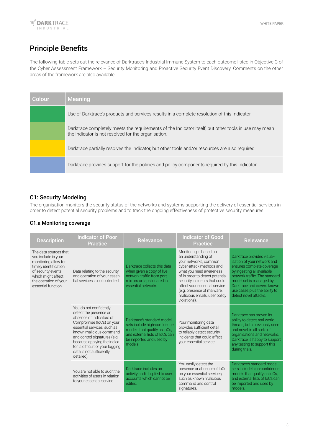

# Principle Benefits

The following table sets out the relevance of Darktrace's Industrial Immune System to each outcome listed in Objective C of the Cyber Assessment Framework – Security Monitoring and Proactive Security Event Discovery. Comments on the other areas of the framework are also available.

| Colour | <b>Meaning</b>                                                                                                                                              |
|--------|-------------------------------------------------------------------------------------------------------------------------------------------------------------|
|        | Use of Darktrace's products and services results in a complete resolution of this Indicator.                                                                |
|        | Darktrace completely meets the requirements of the Indicator itself, but other tools in use may mean<br>the Indicator is not resolved for the organisation. |
|        | Darktrace partially resolves the Indicator, but other tools and/or resources are also required.                                                             |
|        | Darktrace provides support for the policies and policy components required by this Indicator.                                                               |

### C1: Security Modeling

The organisation monitors the security status of the networks and systems supporting the delivery of essential services in order to detect potential security problems and to track the ongoing effectiveness of protective security measures.

#### C1.a Monitoring coverage

| <b>Description</b>                                                                                                                                                                        | <b>Indicator of Poor</b><br><b>Practice</b>                                                                                                                                                                                                                                                                       | Relevance                                                                                                                                                          | <b>Indicator of Good</b><br><b>Practice</b>                                                                                                                                                                                                                                                                       | Relevance                                                                                                                                                                                                                                                                |
|-------------------------------------------------------------------------------------------------------------------------------------------------------------------------------------------|-------------------------------------------------------------------------------------------------------------------------------------------------------------------------------------------------------------------------------------------------------------------------------------------------------------------|--------------------------------------------------------------------------------------------------------------------------------------------------------------------|-------------------------------------------------------------------------------------------------------------------------------------------------------------------------------------------------------------------------------------------------------------------------------------------------------------------|--------------------------------------------------------------------------------------------------------------------------------------------------------------------------------------------------------------------------------------------------------------------------|
| The data sources that<br>you include in your<br>monitoring allow for<br>timely identification<br>of security events<br>which might affect<br>the operation of your<br>essential function. | Data relating to the security<br>and operation of your essen-<br>tial services is not collected.                                                                                                                                                                                                                  | Darktrace collects this data<br>when given a copy of live<br>network traffic from port<br>mirrors or taps located in<br>essential networks.                        | Monitoring is based on<br>an understanding of<br>your networks, common<br>cyber-attack methods and<br>what you need awareness<br>of in order to detect potential<br>security incidents that could<br>affect your essential service<br>(e.g. presence of malware,<br>malicious emails, user policy<br>violations). | Darktrace provides visual-<br>isation of your network and<br>ensures complete coverage<br>by ingesting all available<br>network traffic. The standard<br>model set is managed by<br>Darktrace and covers known<br>use cases plus the ability to<br>detect novel attacks. |
|                                                                                                                                                                                           | You do not confidently<br>detect the presence or<br>absence of Indicators of<br>Compromise (loCs) on your<br>essential services, such as<br>known malicious command<br>and control signatures (e.g.<br>because applying the indica-<br>tor is difficult or your logging<br>data is not sufficiently<br>detailed). | Darktrace's standard model<br>sets include high-confidence<br>models that qualify as loCs,<br>and external lists of loCs can<br>be imported and used by<br>models. | Your monitoring data<br>provides sufficient detail<br>to reliably detect security<br>incidents that could affect<br>your essential service.                                                                                                                                                                       | Darktrace has proven its<br>ability to detect real-world<br>threats, both previously seen<br>and novel, in all sorts of<br>organisations and networks.<br>Darktrace is happy to support<br>any testing to support this<br>during trials.                                 |
|                                                                                                                                                                                           | You are not able to audit the<br>activities of users in relation<br>to your essential service.                                                                                                                                                                                                                    | Darktrace includes an<br>activity audit log tied to user<br>accounts which cannot be<br>edited.                                                                    | You easily detect the<br>presence or absence of loCs<br>on your essential services,<br>such as known malicious<br>command and control<br>signatures.                                                                                                                                                              | Darktrace's standard model<br>sets include high-confidence<br>models that qualify as loCs,<br>and external lists of loCs can<br>be imported and used by<br>models.                                                                                                       |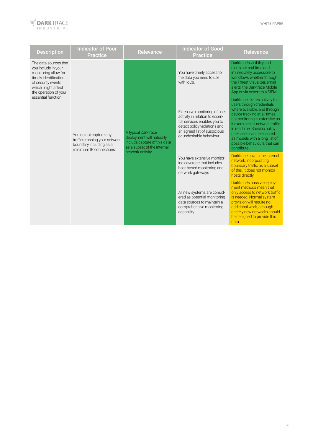

| <b>Description</b>                                                                                                                                                 | <b>Indicator of Poor</b><br><b>Practice</b>                                                                                          | <b>Relevance</b>                                                                                                                     | <b>Indicator of Good</b><br><b>Practice</b>                                                                                                                                                 | <b>Relevance</b>                                                                                                                                                                                                                                                                                                                              |
|--------------------------------------------------------------------------------------------------------------------------------------------------------------------|--------------------------------------------------------------------------------------------------------------------------------------|--------------------------------------------------------------------------------------------------------------------------------------|---------------------------------------------------------------------------------------------------------------------------------------------------------------------------------------------|-----------------------------------------------------------------------------------------------------------------------------------------------------------------------------------------------------------------------------------------------------------------------------------------------------------------------------------------------|
| The data sources that<br>you include in your<br>monitoring allow for<br>timely identification<br>of security events<br>which might affect<br>the operation of your | essential function.<br>You do not capture any<br>traffic crossing your network<br>boundary including as a<br>minimum IP connections. |                                                                                                                                      | You have timely access to<br>the data you need to use<br>with IoCs.                                                                                                                         | Darktrace's visibility and<br>alerts are real-time and<br>immediately accessible to<br>workflows whether through<br>the Threat Visualizer, email<br>alerts, the Darktrace Mobile<br>App or via export to a SIEM.                                                                                                                              |
|                                                                                                                                                                    |                                                                                                                                      | A typical Darktrace<br>deployment will naturally<br>include capture of this data<br>as a subset of the internal<br>network activity. | Extensive monitoring of user<br>activity in relation to essen-<br>tial services enables you to<br>detect policy violations and<br>an agreed list of suspicious<br>or undesirable behaviour. | Darktrace relates activity to<br>users through credentials<br>where available, and through<br>device tracking at all times.<br>Its monitoring is extensive as<br>it examines all network traffic<br>in real time. Specific policy<br>use-cases can be enacted<br>as models with a long list of<br>possible behaviours that can<br>contribute. |
|                                                                                                                                                                    |                                                                                                                                      |                                                                                                                                      | You have extensive monitor-<br>ing coverage that includes<br>host-based monitoring and<br>network gateways.                                                                                 | Darktrace covers the internal<br>network, incorporating<br>boundary traffic as a subset<br>of this. It does not monitor<br>hosts directly.                                                                                                                                                                                                    |
|                                                                                                                                                                    |                                                                                                                                      |                                                                                                                                      | All new systems are consid-<br>ered as potential monitoring<br>data sources to maintain a<br>comprehensive monitoring<br>capability.                                                        | Darktrace's passive deploy-<br>ment methods mean that<br>only access to network traffic<br>is needed. Normal system<br>provision will require no<br>additional work, although<br>entirely new networks should<br>be designed to provide this<br>data.                                                                                         |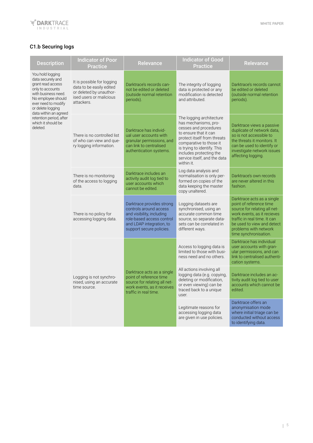

#### C1.b Securing logs

| <b>Description</b>                                                                                                                                                                                                                                            | <b>Indicator of Poor</b><br><b>Practice</b>                                                                                | Relevance                                                                                                                                                             | <b>Indicator of Good</b><br>Practice                                                                                                                                                                                                                                 | Relevance                                                                                                                                                                                                                            |
|---------------------------------------------------------------------------------------------------------------------------------------------------------------------------------------------------------------------------------------------------------------|----------------------------------------------------------------------------------------------------------------------------|-----------------------------------------------------------------------------------------------------------------------------------------------------------------------|----------------------------------------------------------------------------------------------------------------------------------------------------------------------------------------------------------------------------------------------------------------------|--------------------------------------------------------------------------------------------------------------------------------------------------------------------------------------------------------------------------------------|
| You hold logging<br>data securely and<br>grant read access<br>only to accounts<br>with business need.<br>No employee should<br>ever need to modify<br>or delete logging<br>data within an agreed<br>retention period, after<br>which it should be<br>deleted. | It is possible for logging<br>data to be easily edited<br>or deleted by unauthor-<br>ised users or malicious<br>attackers. | Darktrace's records can-<br>not be edited or deleted<br>(outside normal retention<br>periods).                                                                        | The integrity of logging<br>data is protected or any<br>modification is detected<br>and attributed.                                                                                                                                                                  | Darktrace's records cannot<br>be edited or deleted<br>(outside normal retention<br>periods).                                                                                                                                         |
|                                                                                                                                                                                                                                                               | There is no controlled list<br>of who can view and que-<br>ry logging information.                                         | Darktrace has individ-<br>ual user accounts with<br>granular permissions, and<br>can link to centralised<br>authentication systems.                                   | The logging architecture<br>has mechanisms, pro-<br>cesses and procedures<br>to ensure that it can<br>protect itself from threats<br>comparative to those it<br>is trying to identify. This<br>includes protecting the<br>service itself, and the data<br>within it. | Darktrace views a passive<br>duplicate of network data,<br>so is not accessible to<br>the threats it monitors. It<br>can be used to identify or<br>investigate network issues<br>affecting logging.                                  |
|                                                                                                                                                                                                                                                               | There is no monitoring<br>of the access to logging<br>data.                                                                | Darktrace includes an<br>activity audit log tied to<br>user accounts which<br>cannot be edited.                                                                       | Log data analysis and<br>normalisation is only per-<br>formed on copies of the<br>data keeping the master<br>copy unaltered.                                                                                                                                         | Darktrace's own records<br>are never altered in this<br>fashion.                                                                                                                                                                     |
|                                                                                                                                                                                                                                                               | There is no policy for<br>accessing logging data.                                                                          | Darktrace provides strong<br>controls around access<br>and visibility, including<br>role-based access control<br>and LDAP integration, to<br>support secure policies. | Logging datasets are<br>synchronised, using an<br>accurate common time<br>source, so separate data-<br>sets can be correlated in<br>different ways.                                                                                                                  | Darktrace acts as a single<br>point of reference time<br>source for relating all net-<br>work events, as it recieves<br>traffic in real time. It can<br>be used to view and detect<br>problems with network<br>time synchronisation. |
|                                                                                                                                                                                                                                                               | Logging is not synchro-<br>nised, using an accurate<br>time source.                                                        | Darktrace acts as a single<br>point of reference time<br>source for relating all net-<br>work events, as it receives<br>traffic in real time.                         | Access to logging data is<br>limited to those with busi-<br>ness need and no others.                                                                                                                                                                                 | Darktrace has individual<br>user accounts with gran-<br>ular permissions, and can<br>link to centralised authenti-<br>cation systems.                                                                                                |
|                                                                                                                                                                                                                                                               |                                                                                                                            |                                                                                                                                                                       | All actions involving all<br>logging data (e.g. copying,<br>deleting or modification,<br>or even viewing) can be<br>traced back to a unique<br>user.                                                                                                                 | Darktrace includes an ac-<br>tivity audit log tied to user<br>accounts which cannot be<br>edited.                                                                                                                                    |
|                                                                                                                                                                                                                                                               |                                                                                                                            |                                                                                                                                                                       | Legitimate reasons for<br>accessing logging data<br>are given in use policies.                                                                                                                                                                                       | Darktrace offers an<br>anonymisation mode<br>where initial triage can be<br>conducted without access<br>to identifying data.                                                                                                         |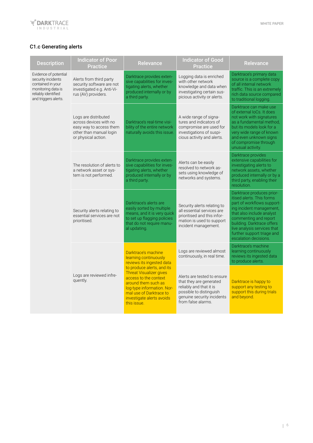

#### C1.c Generating alerts

| <b>Description</b>                                                                                                                    | <b>Indicator of Poor</b><br><b>Practice</b>                                                                                 | Relevance                                                                                                                                                                                                         | <b>Indicator of Good</b><br><b>Practice</b>                                                                                                                      | Relevance                                                                                                                                                                                                                                                                                  |
|---------------------------------------------------------------------------------------------------------------------------------------|-----------------------------------------------------------------------------------------------------------------------------|-------------------------------------------------------------------------------------------------------------------------------------------------------------------------------------------------------------------|------------------------------------------------------------------------------------------------------------------------------------------------------------------|--------------------------------------------------------------------------------------------------------------------------------------------------------------------------------------------------------------------------------------------------------------------------------------------|
| Evidence of potential<br>security incidents<br>contained in your<br>monitoring data is<br>reliably identified<br>and triggers alerts. | Alerts from third party<br>security software are not<br>investigated e.g. Anti-Vi-<br>rus (AV) providers.                   | Darktrace provides exten-<br>sive capabilities for inves-<br>tigating alerts, whether<br>produced internally or by<br>a third party.                                                                              | Logging data is enriched<br>with other network<br>knowledge and data when<br>investigating certain sus-<br>picious activity or alerts.                           | Darktrace's primary data<br>source is a complete copy<br>of all internal network<br>traffic. This is an extremely<br>rich data source compared<br>to traditional logging.                                                                                                                  |
|                                                                                                                                       | Logs are distributed<br>across devices with no<br>easy way to access them<br>other than manual login<br>or physical action. | Darktrace's real-time visi-<br>bility of the entire network<br>naturally avoids this issue.                                                                                                                       | A wide range of signa-<br>tures and indicators of<br>compromise are used for<br>investigations of suspi-<br>cious activity and alerts.                           | Darktrace can make use<br>of external loCs. It does<br>not work with signatures<br>as a fundamental method.<br>but its models look for a<br>very wide range of known<br>and even unknown signs<br>of compromise through<br>unusual activity.                                               |
|                                                                                                                                       | The resolution of alerts to<br>a network asset or sys-<br>tem is not performed.                                             | Darktrace provides exten-<br>sive capabilities for inves-<br>tigating alerts, whether<br>produced internally or by<br>a third party.                                                                              | Alerts can be easily<br>resolved to network as-<br>sets using knowledge of<br>networks and systems.                                                              | Darktrace provides<br>extensive capabilities for<br>investigating alerts to<br>network assets, whether<br>produced internally or by a<br>third party, enabling their<br>resolution.                                                                                                        |
|                                                                                                                                       | Security alerts relating to<br>essential services are not<br>prioritised.                                                   | Darktrace's alerts are<br>easily sorted by multiple<br>means, and it is very quick<br>to set up flagging policies<br>that do not require manu-<br>al updating.                                                    | Security alerts relating to<br>all essential services are<br>prioritised and this infor-<br>mation is used to support<br>incident management.                    | Darktrace produces prior-<br>itised alerts. This forms<br>part of workflows support-<br>ing incident management,<br>that also include analyst<br>commenting and report<br>building. Darktrace offers<br>live analysis services that<br>further support triage and<br>escalation decisions. |
|                                                                                                                                       |                                                                                                                             | Darktrace's machine<br>learning continuously<br>reviews its ingested data                                                                                                                                         | Logs are reviewed almost<br>continuously, in real time.                                                                                                          | Darktrace's machine<br>learning continuously<br>reviews its ingested data<br>to produce alerts.                                                                                                                                                                                            |
|                                                                                                                                       | Logs are reviewed infre-<br>quently.                                                                                        | to produce alerts, and its<br><b>Threat Visualizer gives</b><br>access to the context<br>around them such as<br>log-type information. Nor-<br>mal use of Darktrace to<br>investigate alerts avoids<br>this issue. | Alerts are tested to ensure<br>that they are generated<br>reliably and that it is<br>possible to distinguish<br>genuine security incidents<br>from false alarms. | Darktrace is happy to<br>support any testing to<br>support this during trials<br>and beyond.                                                                                                                                                                                               |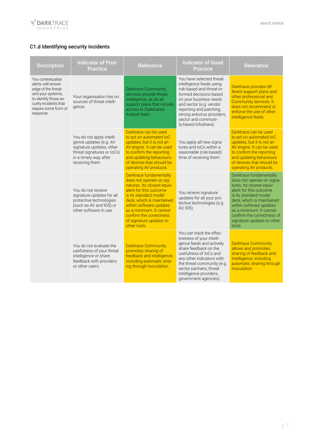

## C1.d Identifying security incidents

| <b>Description</b>                                                                                                                                                        | <b>Indicator of Poor</b><br><b>Practice</b>                                                                                                                | <b>Relevance</b>                                                                                                                                                                                                                                                                               | <b>Indicator of Good</b><br><b>Practice</b>                                                                                                                                                                                                                                    | <b>Relevance</b>                                                                                                                                                                                                                                                                               |
|---------------------------------------------------------------------------------------------------------------------------------------------------------------------------|------------------------------------------------------------------------------------------------------------------------------------------------------------|------------------------------------------------------------------------------------------------------------------------------------------------------------------------------------------------------------------------------------------------------------------------------------------------|--------------------------------------------------------------------------------------------------------------------------------------------------------------------------------------------------------------------------------------------------------------------------------|------------------------------------------------------------------------------------------------------------------------------------------------------------------------------------------------------------------------------------------------------------------------------------------------|
| You contextualise<br>alerts with knowl-<br>edge of the threat<br>and your systems,<br>to identify those se-<br>curity incidents that<br>require some form of<br>response. | Your organisation has no<br>sources of threat intelli-<br>gence.                                                                                           | <b>Darktrace Community</b><br>services provide threat<br>intelligence, as do all<br>support plans that include<br>access to Darktrace's<br>Analyst team.                                                                                                                                       | You have selected threat<br>intelligence feeds using<br>risk-based and threat-in-<br>formed decisions based<br>on your business needs<br>and sector (e.g. vendor<br>reporting and patching,<br>strong antivirus providers,<br>sector and communi-<br>ty-based infoshare).      | Darktrace provides dif-<br>ferent support plans and<br>other professional and<br>Community services. It<br>does not recommend or<br>enforce the use of other<br>intelligence feeds.                                                                                                            |
|                                                                                                                                                                           | You do not apply intelli-<br>gence updates (e.g. AV<br>signature updates, other<br>threat signatures or loCs)<br>in a timely way, after<br>receiving them. | Darktrace can be used<br>to act on automated loC<br>updates, but it is not an<br>AV engine. It can be used<br>to confirm the reporting<br>and updating behaviours<br>of devices that should be<br>operating AV products.                                                                       | You apply all new signa-<br>tures and loCs within a<br>reasonable (risk-based)<br>time of receiving them.                                                                                                                                                                      | Darktrace can be used<br>to act on automated loC<br>updates, but it is not an<br>AV engine. It can be used<br>to confirm the reporting<br>and updating behaviours<br>of devices that should be<br>operating AV products.                                                                       |
|                                                                                                                                                                           | You do not receive<br>signature updates for all<br>protective technologies<br>(such as AV and IDS) or<br>other software in use.                            | Darktrace fundamentally<br>does not operate on sig-<br>natures. Its closest equiv-<br>alent for this outcome<br>is its standard model<br>deck, which is maintained<br>within software updates<br>as a minimum. It cannot<br>confirm the correctness<br>of signature updates to<br>other tools. | You receive signature<br>updates for all your pro-<br>tective technologies (e.g.<br>AV, IDS).                                                                                                                                                                                  | Darktrace fundamentally<br>does not operate on signa-<br>tures. Its closest equiv-<br>alent for this outcome<br>is its standard model<br>deck, which is maintained<br>within software updates<br>as a minimum. It cannot<br>confirm the correctness of<br>signature updates to other<br>tools. |
|                                                                                                                                                                           | You do not evaluate the<br>usefulness of your threat<br>intelligence or share<br>feedback with providers<br>or other users.                                | <b>Darktrace Community</b><br>promotes sharing of<br>feedback and intelligence,<br>including automatic shar-<br>ing through Inoculation.                                                                                                                                                       | You can track the effec-<br>tiveness of your intelli-<br>gence feeds and actively<br>share feedback on the<br>usefulness of loCs and<br>any other indicators with<br>the threat community (e.g.<br>sector partners, threat<br>intelligence providers,<br>government agencies). | <b>Darktrace Community</b><br>allows and promotes<br>sharing of feedback and<br>intelligence, including<br>automatic sharing through<br>Inoculation.                                                                                                                                           |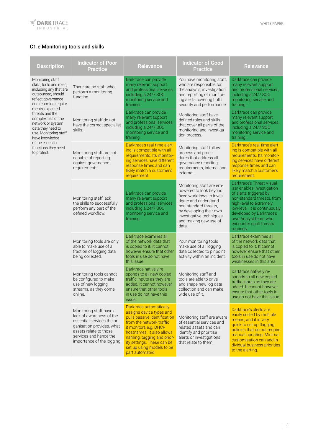

#### C1.e Monitoring tools and skills

| <b>Description</b>                                                                                                                                                                                                                                                                                                                                       | <b>Indicator of Poor</b><br><b>Practice</b>                                                                                                                                                      | Relevance                                                                                                                                                                                                                                                                         | <b>Indicator of Good</b><br><b>Practice</b>                                                                                                                                                                                | <b>Relevance</b>                                                                                                                                                                                                                                                         |
|----------------------------------------------------------------------------------------------------------------------------------------------------------------------------------------------------------------------------------------------------------------------------------------------------------------------------------------------------------|--------------------------------------------------------------------------------------------------------------------------------------------------------------------------------------------------|-----------------------------------------------------------------------------------------------------------------------------------------------------------------------------------------------------------------------------------------------------------------------------------|----------------------------------------------------------------------------------------------------------------------------------------------------------------------------------------------------------------------------|--------------------------------------------------------------------------------------------------------------------------------------------------------------------------------------------------------------------------------------------------------------------------|
| Monitoring staff<br>skills, tools and roles,<br>including any that are<br>outsourced, should<br>reflect governance<br>and reporting require-<br>ments, expected<br>threats and the<br>complexities of the<br>network or system<br>data they need to<br>use. Monitoring staff<br>have knowledge<br>of the essential<br>functions they need<br>to protect. | There are no staff who<br>perform a monitoring<br>function.                                                                                                                                      | Darktrace can provide<br>many relevant support<br>and professional services,<br>including a 24/7 SOC<br>monitoring service and<br>training.                                                                                                                                       | You have monitoring staff,<br>who are responsible for<br>the analysis, investigation<br>and reporting of monitor-<br>ing alerts covering both<br>security and performance.                                                 | Darktrace can provide<br>many relevant support<br>and professional services,<br>including a 24/7 SOC<br>monitoring service and<br>training.                                                                                                                              |
|                                                                                                                                                                                                                                                                                                                                                          | Monitoring staff do not<br>have the correct specialist<br>skills.                                                                                                                                | Darktrace can provide<br>many relevant support<br>and professional services,<br>including a 24/7 SOC<br>monitoring service and<br>training.                                                                                                                                       | Monitoring staff have<br>defined roles and skills<br>that cover all parts of the<br>monitoring and investiga-<br>tion process.                                                                                             | Darktrace can provide<br>many relevant support<br>and professional services,<br>including a 24/7 SOC<br>monitoring service and<br>training.                                                                                                                              |
|                                                                                                                                                                                                                                                                                                                                                          | Monitoring staff are not<br>capable of reporting<br>against governance<br>requirements.                                                                                                          | Darktrace's real-time alert-<br>ing is compatible with all<br>requirements. Its monitor-<br>ing services have different<br>response times and can<br>likely match a customer's<br>requirement.                                                                                    | Monitoring staff follow<br>process and proce-<br>dures that address all<br>governance reporting<br>requirements, internal and<br>external.                                                                                 | Darktrace's real-time alert-<br>ing is compatible with all<br>requirements. Its monitor-<br>ing services have different<br>response times and can<br>likely match a customer's<br>requirement.                                                                           |
|                                                                                                                                                                                                                                                                                                                                                          | Monitoring staff lack<br>the skills to successfully<br>perform any part of the<br>defined workflow.                                                                                              | Darktrace can provide<br>many relevant support<br>and professional services,<br>including a 24/7 SOC<br>monitoring service and<br>training.                                                                                                                                       | Monitoring staff are em-<br>powered to look beyond<br>fixed workflows to inves-<br>tigate and understand<br>non-standard threats,<br>by developing their own<br>investigative techniques<br>and making new use of<br>data. | Darktrace's Threat Visual-<br>izer enables investigation<br>of alerts triggered by<br>non-standard threats, from<br>high-level to extremely<br>low-level. It is continuously<br>developed by Darktrace's<br>own Analyst team who<br>encounter such threats<br>routinely. |
|                                                                                                                                                                                                                                                                                                                                                          | Monitoring tools are only<br>able to make use of a<br>fraction of logging data<br>being collected.                                                                                               | Darktrace examines all<br>of the network data that<br>is copied to it. It cannot<br>however ensure that other<br>tools in use do not have<br>this issue.                                                                                                                          | Your monitoring tools<br>make use of all logging<br>data collected to pinpoint<br>activity within an incident.                                                                                                             | Darktrace examines all<br>of the network data that<br>is copied to it. It cannot<br>however ensure that other<br>tools in use do not have<br>weaknesses in this area.                                                                                                    |
|                                                                                                                                                                                                                                                                                                                                                          | Monitoring tools cannot<br>be configured to make<br>use of new logging<br>streams, as they come<br>online.                                                                                       | Darktrace natively re-<br>sponds to all new copied<br>traffic inputs as they are<br>added. It cannot however<br>ensure that other tools<br>in use do not have this<br>issue.                                                                                                      | Monitoring staff and<br>tools are able to drive<br>and shape new log data<br>collection and can make<br>wide use of it.                                                                                                    | Darktrace natively re-<br>sponds to all new copied<br>traffic inputs as they are<br>added. It cannot however<br>ensure that other tools in<br>use do not have this issue.                                                                                                |
|                                                                                                                                                                                                                                                                                                                                                          | Monitoring staff have a<br>lack of awareness of the<br>essential services the or-<br>ganisation provides, what<br>assets relate to those<br>services and hence the<br>importance of the logging. | Darktrace automatically<br>assigns device types and<br>pulls passive identification<br>from the network traffic<br>it monitors e.g. DHCP<br>hostnames. It also allows<br>naming, tagging and prior-<br>ity settings. These can be<br>set up using models to be<br>part automated. | Monitoring staff are aware<br>of essential services and<br>related assets and can<br>identify and prioritise<br>alerts or investigations<br>that relate to them.                                                           | Darktrace's alerts are<br>easily sorted by multiple<br>means, and it is very<br>quick to set up flagging<br>policies that do not require<br>manual updating. Minimal<br>customisation can add in-<br>dividual business priorities<br>to the alerting.                    |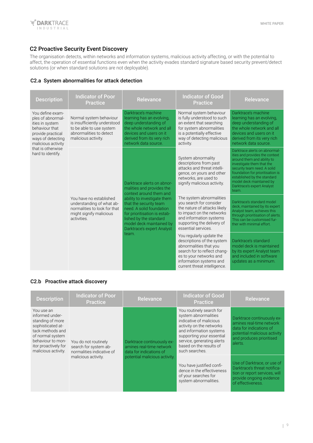

### C2 Proactive Security Event Discovery

The organisation detects, within networks and information systems, malicious activity affecting, or with the potential to affect, the operation of essential functions even when the activity evades standard signature based security prevent/detect solutions (or when standard solutions are not deployable).

#### C2.a System abnormalities for attack detection

| <b>Description</b>                                                                                                                                                                   | <b>Indicator of Poor</b><br><b>Practice</b>                                                                                           | Relevance                                                                                                                                                                                                                                                                                   | <b>Indicator of Good</b><br><b>Practice</b>                                                                                                                                                            | Relevance                                                                                                                                                                                                                                                                                       |
|--------------------------------------------------------------------------------------------------------------------------------------------------------------------------------------|---------------------------------------------------------------------------------------------------------------------------------------|---------------------------------------------------------------------------------------------------------------------------------------------------------------------------------------------------------------------------------------------------------------------------------------------|--------------------------------------------------------------------------------------------------------------------------------------------------------------------------------------------------------|-------------------------------------------------------------------------------------------------------------------------------------------------------------------------------------------------------------------------------------------------------------------------------------------------|
| You define exam-<br>ples of abnormal-<br>ities in system<br>behaviour that<br>provide practical<br>ways of detecting<br>malicious activity<br>that is otherwise<br>hard to identify. | Normal system behaviour<br>is insufficiently understood<br>to be able to use system<br>abnormalities to detect<br>malicious activity. | Darktrace's machine<br>learning has an evolving,<br>deep understanding of<br>the whole network and all<br>devices and users on it<br>derived from its very rich<br>network data source.                                                                                                     | Normal system behaviour<br>is fully understood to such<br>an extent that searching<br>for system abnormalities<br>is a potentially effective<br>way of detecting malicious<br>activity.                | Darktrace's machine<br>learning has an evolving,<br>deep understanding of<br>the whole network and all<br>devices and users on it<br>derived from its very rich<br>network data source.                                                                                                         |
|                                                                                                                                                                                      | You have no established<br>understanding of what ab-<br>normalities to look for that<br>might signify malicious<br>activities.        | Darktrace alerts on abnor-<br>malities and provides the<br>context around them and<br>ability to investigate them<br>that the security team<br>need. A solid foundation<br>for prioritisation is estab-<br>lished by the standard<br>model deck maintained by<br>Darktrace's expert Analyst | System abnormality<br>descriptions from past<br>attacks and threat intelli-<br>gence, on yours and other<br>networks, are used to<br>signify malicious activity.                                       | Darktrace alerts on abnormal-<br>ities and provides the context<br>around them and ability to<br>investigate them that the<br>security team need. A solid<br>foundation for prioritisation is<br>established by the standard<br>model deck maintained by<br>Darktrace's expert Analyst<br>team. |
|                                                                                                                                                                                      |                                                                                                                                       |                                                                                                                                                                                                                                                                                             | The system abnormalities<br>you search for consider<br>the nature of attacks likely<br>to impact on the networks<br>and information systems<br>supporting the delivery of<br>essential services.       | Darktrace's standard model<br>deck, maintained by its expert<br>Analyst team, achieves this<br>through prioritisation of alerts.<br>This can be customised fur-<br>ther with minimal effort.                                                                                                    |
|                                                                                                                                                                                      |                                                                                                                                       | team.                                                                                                                                                                                                                                                                                       | You regularly update the<br>descriptions of the system<br>abnormalities that you<br>search for to reflect chang-<br>es to your networks and<br>information systems and<br>current threat intelligence. | Darktrace's standard<br>model deck is maintained<br>by its expert Analyst team<br>and included in software<br>updates as a minimum.                                                                                                                                                             |

#### C2.b Proactive attack discovery

| <b>Description</b>                                                                                                                                                                 | <b>Indicator of Poor</b><br><b>Practice</b>                                                       | Relevance                                                                                                          | <b>Indicator of Good</b><br><b>Practice</b>                                                                                                                                                                                                | Relevance                                                                                                                                                |
|------------------------------------------------------------------------------------------------------------------------------------------------------------------------------------|---------------------------------------------------------------------------------------------------|--------------------------------------------------------------------------------------------------------------------|--------------------------------------------------------------------------------------------------------------------------------------------------------------------------------------------------------------------------------------------|----------------------------------------------------------------------------------------------------------------------------------------------------------|
| You use an<br>informed under-<br>standing of more<br>sophisticated at-<br>tack methods and<br>of normal system<br>behaviour to mon-<br>itor proactively for<br>malicious activity. | You do not routinely<br>search for system ab-<br>normalities indicative of<br>malicious activity. | Darktrace continuously ex-<br>amines real-time network<br>data for indications of<br>potential malicious activity. | You routinely search for<br>system abnormalities<br>indicative of malicious<br>activity on the networks<br>and information systems<br>supporting your essential<br>service, generating alerts<br>based on the results of<br>such searches. | Darktrace continuously ex-<br>amines real-time network<br>data for indications of<br>potential malicious activity<br>and produces prioritised<br>alerts. |
|                                                                                                                                                                                    |                                                                                                   |                                                                                                                    | You have justified confi-<br>dence in the effectiveness<br>of your searches for<br>system abnormalities.                                                                                                                                   | Use of Darktrace, or use of<br>Darktrace's threat notifica-<br>tion or report services, will<br>provide ongoing evidence<br>of effectiveness.            |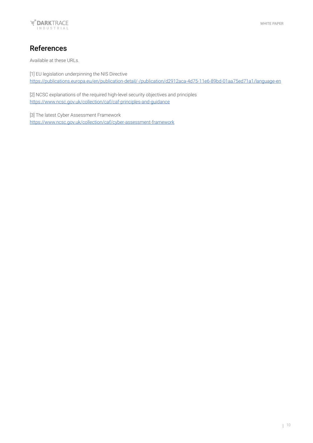

## References

Available at these URLs.

[1] EU legislation underpinning the NIS Directive <https://publications.europa.eu/en/publication-detail/-/publication/d2912aca-4d75-11e6-89bd-01aa75ed71a1/language-en>

[2] NCSC explanations of the required high-level security objectives and principles https://www.ncsc.gov.uk/collection/caf/caf-principles-and-guidance

[3] The latest Cyber Assessment Framework https://www.ncsc.gov.uk/collection/caf/cyber-assessment-framework